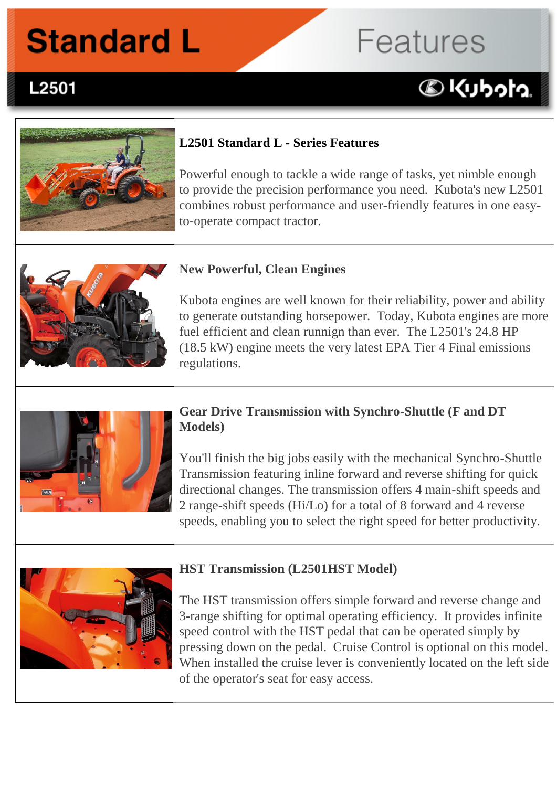# **Standard L**

# **Features**

# **DKUbota**



**L2501 Series Features:**

L2501

#### **L2501 Standard L - Series Features**

Powerful enough to tackle a wide range of tasks, yet nimble enough to provide the precision performance you need. Kubota's new L2501 combines robust performance and user-friendly features in one easyto-operate compact tractor.



#### **New Powerful, Clean Engines**

Kubota engines are well known for their reliability, power and ability to generate outstanding horsepower. Today, Kubota engines are more fuel efficient and clean runnign than ever. The L2501's 24.8 HP (18.5 kW) engine meets the very latest EPA Tier 4 Final emissions regulations.



#### **Gear Drive Transmission with Synchro-Shuttle (F and DT Models)**

You'll finish the big jobs easily with the mechanical Synchro-Shuttle Transmission featuring inline forward and reverse shifting for quick directional changes. The transmission offers 4 main-shift speeds and 2 range-shift speeds (Hi/Lo) for a total of 8 forward and 4 reverse speeds, enabling you to select the right speed for better productivity.



#### **HST Transmission (L2501HST Model)**

The HST transmission offers simple forward and reverse change and 3-range shifting for optimal operating efficiency. It provides infinite speed control with the HST pedal that can be operated simply by pressing down on the pedal. Cruise Control is optional on this model. When installed the cruise lever is conveniently located on the left side of the operator's seat for easy access.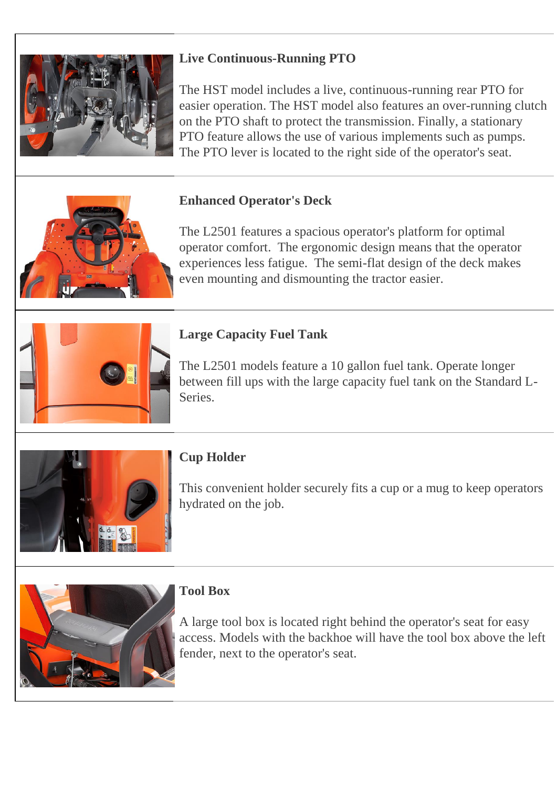

# **Live Continuous-Running PTO**

The HST model includes a live, continuous-running rear PTO for easier operation. The HST model also features an over-running clutch on the PTO shaft to protect the transmission. Finally, a stationary PTO feature allows the use of various implements such as pumps. The PTO lever is located to the right side of the operator's seat.

# **Enhanced Operator's Deck**

The L2501 features a spacious operator's platform for optimal operator comfort. The ergonomic design means that the operator experiences less fatigue. The semi-flat design of the deck makes even mounting and dismounting the tractor easier.



# **Large Capacity Fuel Tank**

The L2501 models feature a 10 gallon fuel tank. Operate longer between fill ups with the large capacity fuel tank on the Standard L-Series.



# **Cup Holder**

This convenient holder securely fits a cup or a mug to keep operators hydrated on the job.



### **Tool Box**

A large tool box is located right behind the operator's seat for easy access. Models with the backhoe will have the tool box above the left fender, next to the operator's seat.